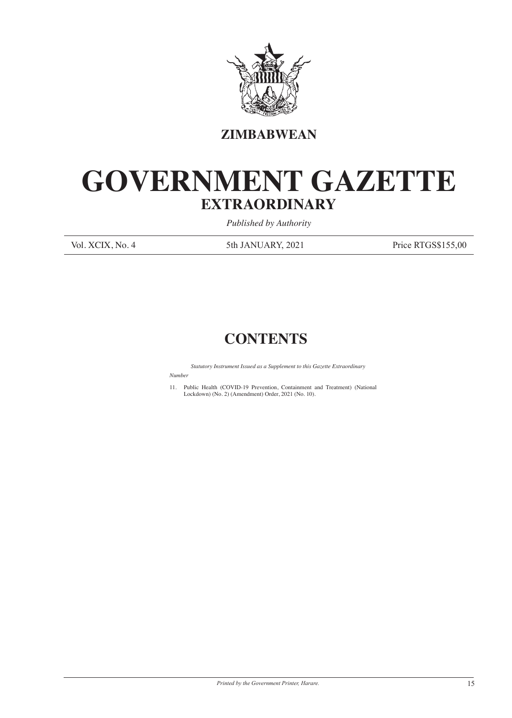

**ZIMBABWEAN**

## **GOVERNMENT GAZETTE EXTRAORDINARY**

*Published by Authority*

Vol. XCIX, No. 4 5th JANUARY, 2021 Price RTGS\$155,00

## **CONTENTS**

*Statutory Instrument Issued as a Supplement to this Gazette Extraordinary*

*Number*

11. Public Health (COVID-19 Prevention, Containment and Treatment) (National Lockdown) (No. 2) (Amendment) Order, 2021 (No. 10).